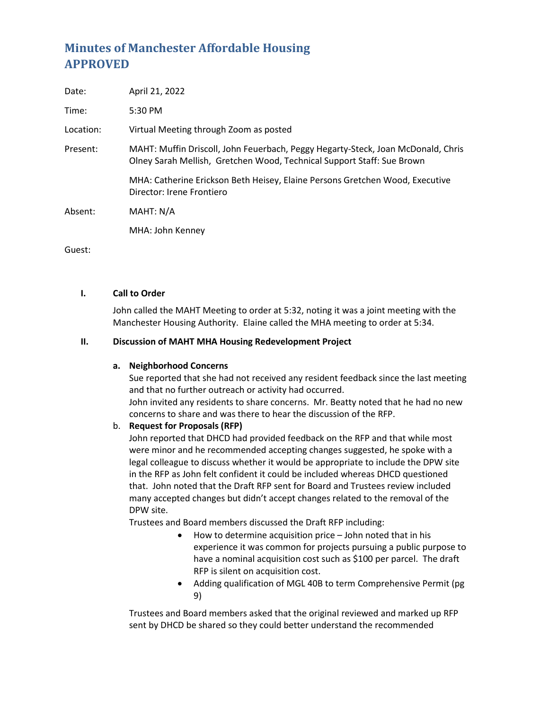# **Minutes of Manchester Affordable Housing APPROVED**

| Date:     | April 21, 2022                                                                                                                                             |
|-----------|------------------------------------------------------------------------------------------------------------------------------------------------------------|
| Time:     | 5:30 PM                                                                                                                                                    |
| Location: | Virtual Meeting through Zoom as posted                                                                                                                     |
| Present:  | MAHT: Muffin Driscoll, John Feuerbach, Peggy Hegarty-Steck, Joan McDonald, Chris<br>Olney Sarah Mellish, Gretchen Wood, Technical Support Staff: Sue Brown |
|           | MHA: Catherine Erickson Beth Heisey, Elaine Persons Gretchen Wood, Executive<br>Director: Irene Frontiero                                                  |
| Absent:   | MAHT: N/A                                                                                                                                                  |
|           | MHA: John Kenney                                                                                                                                           |
|           |                                                                                                                                                            |

Guest:

#### **I. Call to Order**

John called the MAHT Meeting to order at 5:32, noting it was a joint meeting with the Manchester Housing Authority. Elaine called the MHA meeting to order at 5:34.

## **II. Discussion of MAHT MHA Housing Redevelopment Project**

## **a. Neighborhood Concerns**

Sue reported that she had not received any resident feedback since the last meeting and that no further outreach or activity had occurred. John invited any residents to share concerns. Mr. Beatty noted that he had no new concerns to share and was there to hear the discussion of the RFP.

## b. **Request for Proposals (RFP)**

John reported that DHCD had provided feedback on the RFP and that while most were minor and he recommended accepting changes suggested, he spoke with a legal colleague to discuss whether it would be appropriate to include the DPW site in the RFP as John felt confident it could be included whereas DHCD questioned that. John noted that the Draft RFP sent for Board and Trustees review included many accepted changes but didn't accept changes related to the removal of the DPW site.

Trustees and Board members discussed the Draft RFP including:

- How to determine acquisition price John noted that in his experience it was common for projects pursuing a public purpose to have a nominal acquisition cost such as \$100 per parcel. The draft RFP is silent on acquisition cost.
- Adding qualification of MGL 40B to term Comprehensive Permit (pg 9)

Trustees and Board members asked that the original reviewed and marked up RFP sent by DHCD be shared so they could better understand the recommended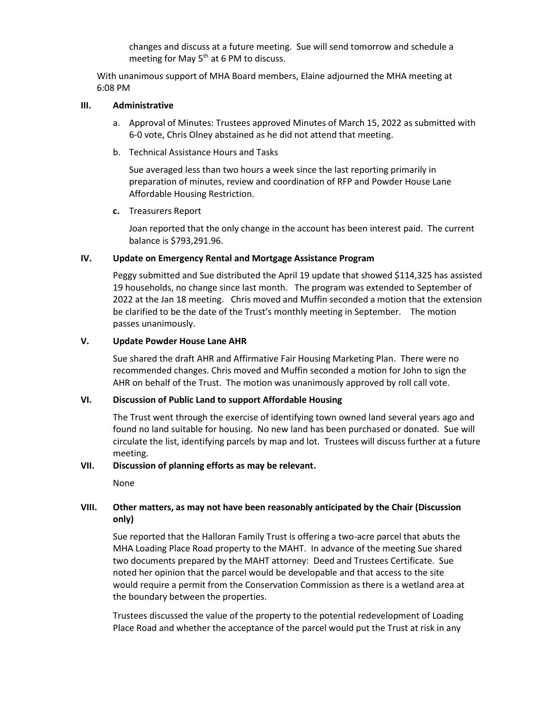changes and discuss at a future meeting. Sue will send tomorrow and schedule a meeting for May  $5<sup>th</sup>$  at 6 PM to discuss.

With unanimous support of MHA Board members, Elaine adjourned the MHA meeting at 6:08 PM

#### **III. Administrative**

- a. Approval of Minutes: Trustees approved Minutes of March 15, 2022 as submitted with 6-0 vote, Chris Olney abstained as he did not attend that meeting.
- b. Technical Assistance Hours and Tasks

Sue averaged less than two hours a week since the last reporting primarily in preparation of minutes, review and coordination of RFP and Powder House Lane Affordable Housing Restriction.

**c.** Treasurers Report

Joan reported that the only change in the account has been interest paid. The current balance is \$793,291.96.

#### **IV. Update on Emergency Rental and Mortgage Assistance Program**

Peggy submitted and Sue distributed the April 19 update that showed \$114,325 has assisted 19 households, no change since last month. The program was extended to September of 2022 at the Jan 18 meeting. Chris moved and Muffin seconded a motion that the extension be clarified to be the date of the Trust's monthly meeting in September. The motion passes unanimously.

#### **V. Update Powder House Lane AHR**

Sue shared the draft AHR and Affirmative Fair Housing Marketing Plan. There were no recommended changes. Chris moved and Muffin seconded a motion for John to sign the AHR on behalf of the Trust. The motion was unanimously approved by roll call vote.

## **VI. Discussion of Public Land to support Affordable Housing**

The Trust went through the exercise of identifying town owned land several years ago and found no land suitable for housing. No new land has been purchased or donated. Sue will circulate the list, identifying parcels by map and lot. Trustees will discuss further at a future meeting.

## **VII. Discussion of planning efforts as may be relevant.**

None

## **VIII. Other matters, as may not have been reasonably anticipated by the Chair (Discussion only)**

Sue reported that the Halloran Family Trust is offering a two-acre parcel that abuts the MHA Loading Place Road property to the MAHT. In advance of the meeting Sue shared two documents prepared by the MAHT attorney: Deed and Trustees Certificate. Sue noted her opinion that the parcel would be developable and that access to the site would require a permit from the Conservation Commission as there is a wetland area at the boundary between the properties.

Trustees discussed the value of the property to the potential redevelopment of Loading Place Road and whether the acceptance of the parcel would put the Trust at risk in any